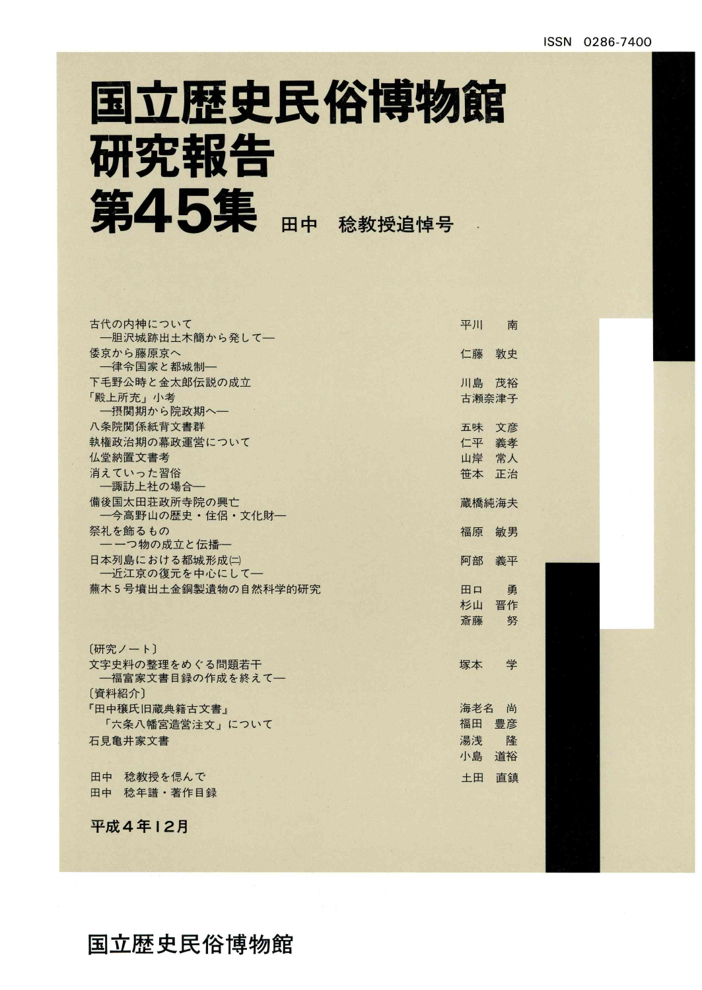## 国立歴史民俗博物館 研究報告 第45集

| 古代の内神について                         | 平川       | 南  |
|-----------------------------------|----------|----|
| 一胆沢城跡出土木簡から発して一                   |          |    |
| 倭京から藤原京へ                          | 仁藤       | 敦史 |
| 一律令国家と都城制一                        |          |    |
| 下毛野公時と金太郎伝説の成立                    | 川島 茂裕    |    |
| 「殿上所充」小考                          | 古瀬奈津子    |    |
| 一摂関期から院政期へ一                       |          |    |
| 八条院関係紙背文書群                        | 五味 文彦    |    |
| 執権政治期の幕政運営について                    | 仁平 義孝    |    |
| 仏堂納置文書考                           | 山岸 常人    |    |
| 消えていった習俗                          | 笹本       | 正治 |
| 一諏訪上社の場合–                         |          |    |
| 備後国太田荘政所寺院の興亡                     | 蔵橋純海夫    |    |
| ―今高野山の歴史・住侶・文化財―                  |          |    |
| 祭礼を飾るもの                           | 福原       | 敏男 |
| 一一つ物の成立と伝播一                       |          |    |
| 日本列島における都城形成(二)<br>一近江京の復元を中心にして一 | 阿部       | 義平 |
| 蕪木5号墳出土金銅製遺物の自然科学的研究              |          |    |
|                                   | 田口       | 勇  |
|                                   | 杉山<br>斎藤 | 晋作 |
|                                   |          | 努  |
| [研究ノート]                           |          |    |
| 文字史料の整理をめぐる問題若干                   | 塚本       | 学  |
| 一福富家文書目録の作成を終えて一                  |          |    |
| [資料紹介]                            |          |    |
| 『田中穣氏旧蔵典籍古文書』                     | 海老名 尚    |    |
| 「六条八幡宮造営注文」について                   | 福田       | 豊彦 |
| 石見亀井家文書                           | 湯浅       | 降  |
|                                   | 小島       | 道裕 |
| 田中<br>稔教授を偲んで                     | 土田       | 直鎮 |
| 稔年譜·著作目録<br>田中                    |          |    |
|                                   |          |    |
|                                   |          |    |
| 平成4年12月                           |          |    |

## 国立歴史民俗博物館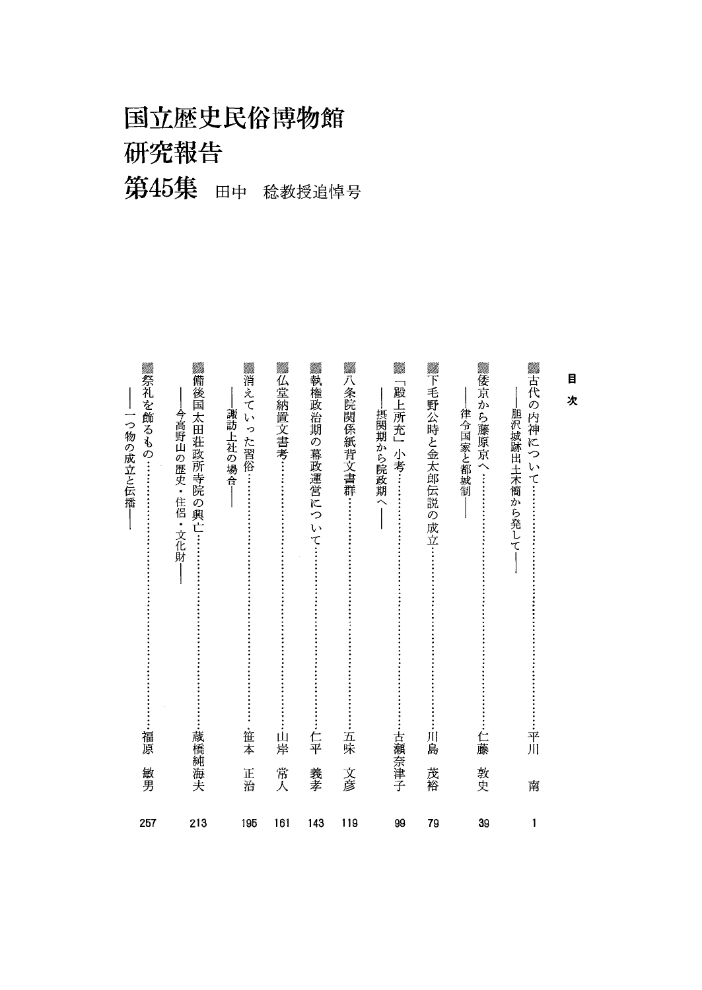国立歴史民俗博物館 研究報告 第45集 田中 稔教授追悼号

<u>mm.</u>

Utth.

Milli.

<u>vm</u>

910tti.

Milh.

<u>rmiti.</u>

<u>mm</u>

MM.

目 ,<br>欠

Milli.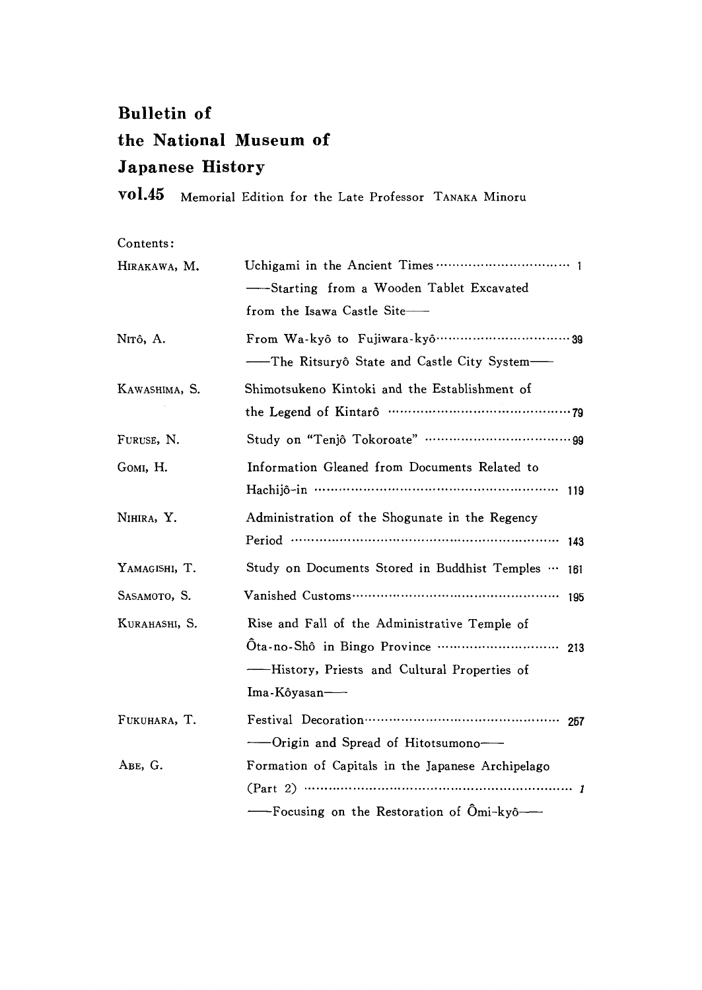## Bulletin of the National Museum of Japanese History

voL45 Memorial Edition for the Late Professor TANAKA Minoru

Contents:

| HIRAKAWA, M.  |                                                                 |  |  |  |
|---------------|-----------------------------------------------------------------|--|--|--|
|               | -Starting from a Wooden Tablet Excavated                        |  |  |  |
|               | from the Isawa Castle Site-                                     |  |  |  |
| Nitô, A.      |                                                                 |  |  |  |
|               | --The Ritsuryô State and Castle City System-                    |  |  |  |
| KAWASHIMA, S. | Shimotsukeno Kintoki and the Establishment of                   |  |  |  |
|               |                                                                 |  |  |  |
| FURUSE, N.    |                                                                 |  |  |  |
| GOMI, H.      | Information Gleaned from Documents Related to                   |  |  |  |
|               |                                                                 |  |  |  |
| NIHIRA, Y.    | Administration of the Shogunate in the Regency                  |  |  |  |
|               | 143                                                             |  |  |  |
| YAMAGISHI, T. | Study on Documents Stored in Buddhist Temples  161              |  |  |  |
| SASAMOTO, S.  |                                                                 |  |  |  |
| KURAHASHI, S. | Rise and Fall of the Administrative Temple of                   |  |  |  |
|               | Ota-no-Shô in Bingo Province ······························ 213 |  |  |  |
|               | ——History, Priests and Cultural Properties of                   |  |  |  |
|               | $Ima-K\delta yasan$                                             |  |  |  |
| FUKUHARA, T.  |                                                                 |  |  |  |
|               |                                                                 |  |  |  |
| ABE, G.       | Formation of Capitals in the Japanese Archipelago               |  |  |  |
|               |                                                                 |  |  |  |
|               | -----Focusing on the Restoration of Ömi-kyô--                   |  |  |  |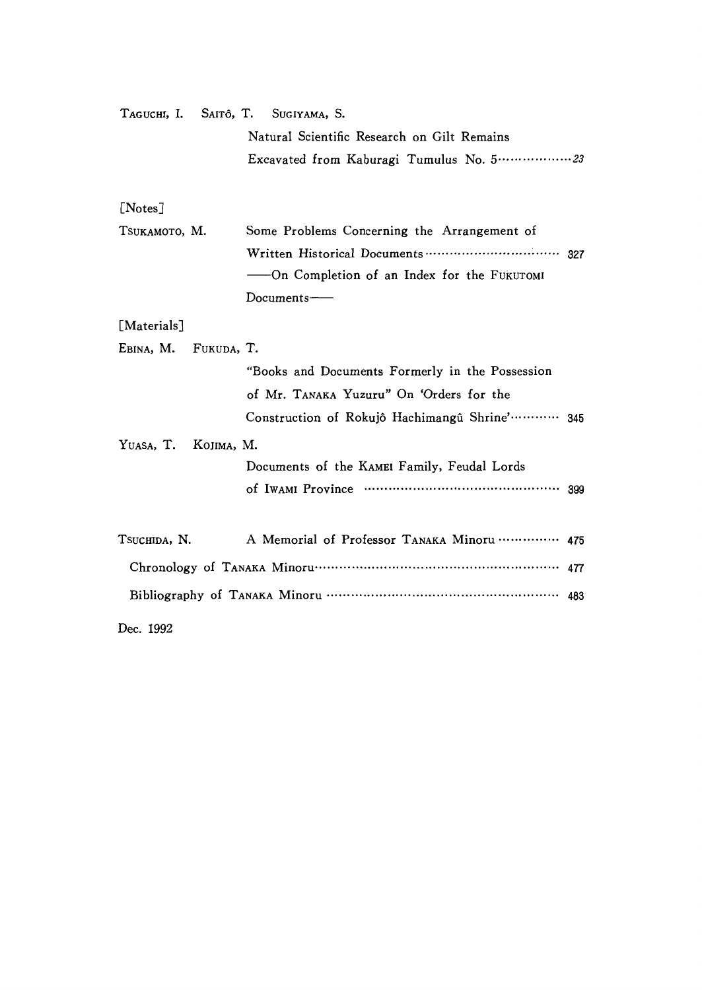| TAGUCHI, I. SAITÔ, T. SUGIYAMA, S. |                                                            |  |
|------------------------------------|------------------------------------------------------------|--|
|                                    | Natural Scientific Research on Gilt Remains                |  |
|                                    | Excavated from Kaburagi Tumulus No. 5  23                  |  |
|                                    |                                                            |  |
| [Notes]                            |                                                            |  |
| Tsukamoto, M.                      | Some Problems Concerning the Arrangement of                |  |
|                                    |                                                            |  |
|                                    | -On Completion of an Index for the FUKUTOMI                |  |
|                                    | Documents-                                                 |  |
| [Materials]                        |                                                            |  |
| FUKUDA, T.<br>Ebina, M.            |                                                            |  |
|                                    | "Books and Documents Formerly in the Possession            |  |
|                                    | of Mr. TANAKA Yuzuru" On 'Orders for the                   |  |
|                                    | Construction of Rokujô Hachimangû Shrine' ············ 345 |  |
| YUASA, T.<br>KOJIMA, M.            |                                                            |  |
|                                    | Documents of the KAMEI Family, Feudal Lords                |  |
|                                    |                                                            |  |
| Tsuchida, N.                       | A Memorial of Professor TANAKA Minoru  475                 |  |
|                                    |                                                            |  |
|                                    |                                                            |  |
|                                    |                                                            |  |
| Dec. 1992                          |                                                            |  |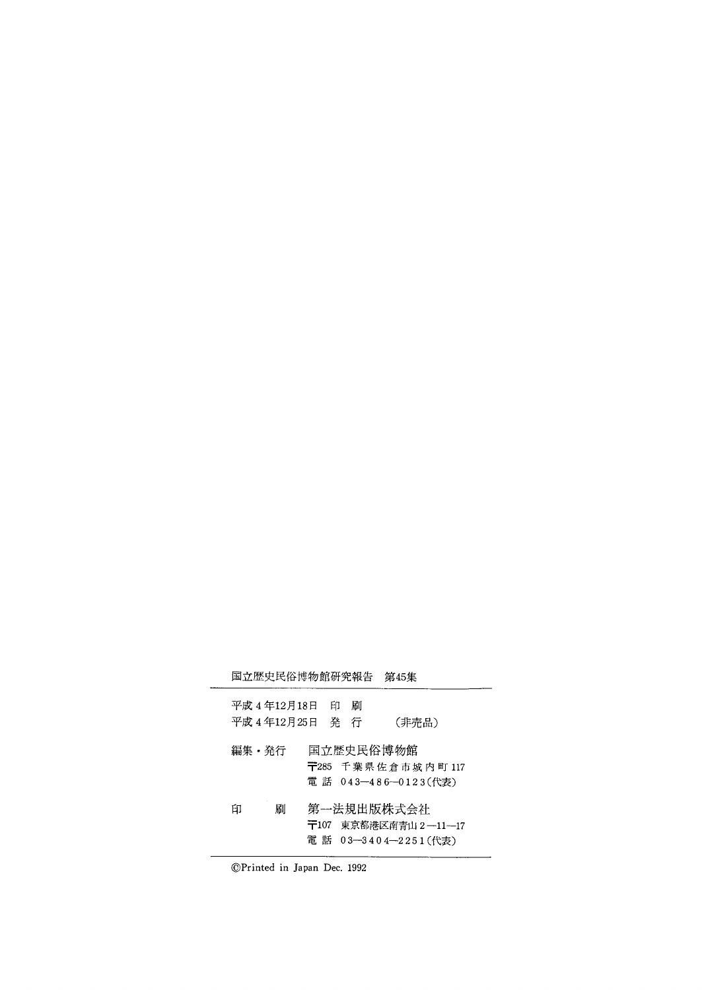| 国立歴史民俗博物館研究報告 |           |     |   | 第45集                       |
|---------------|-----------|-----|---|----------------------------|
| 平成 4 年12月18日  |           | ЕIJ | 刷 |                            |
| 平成 4 年12月25日  |           | 発   | 行 | (非売品)                      |
| 編集・発行         | $\pm 285$ |     |   | 国立歴史民俗博物館<br>千葉県佐倉市城内町 117 |
|               |           |     |   | 電 話 043-486-0123(代表)       |
|               |           |     |   |                            |
| 刷<br>印        |           |     |   | 第一法規出版株式会社                 |
|               | 〒107      |     |   | 東京都港区南青山 2 ―11―17          |
|               |           |     |   | 電 話 03-3404-2251(代表)       |

⑥Printed in Japan Dec.1992